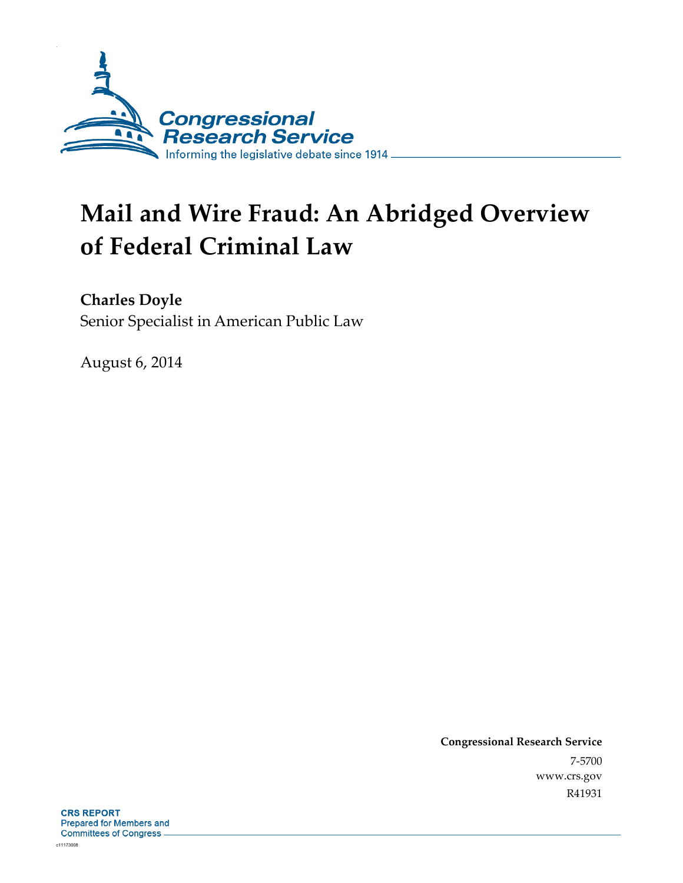

# **Mail and Wire Fraud: An Abridged Overview of Federal Criminal Law**

**Charles Doyle** 

Senior Specialist in American Public Law

August 6, 2014

**Congressional Research Service**  7-5700 www.crs.gov R41931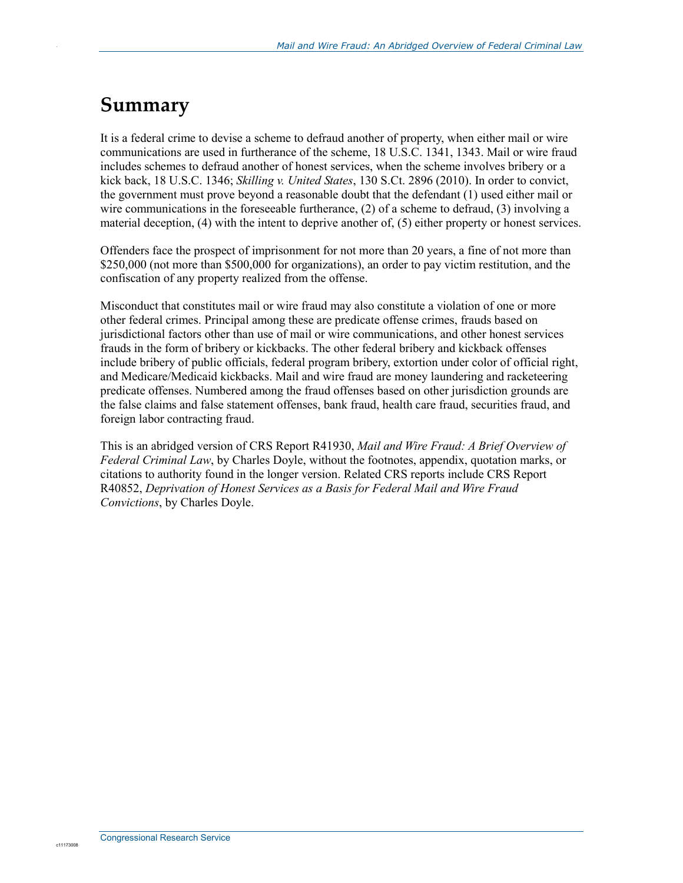#### **Summary**

.

It is a federal crime to devise a scheme to defraud another of property, when either mail or wire communications are used in furtherance of the scheme, 18 U.S.C. 1341, 1343. Mail or wire fraud includes schemes to defraud another of honest services, when the scheme involves bribery or a kick back, 18 U.S.C. 1346; *Skilling v. United States*, 130 S.Ct. 2896 (2010). In order to convict, the government must prove beyond a reasonable doubt that the defendant (1) used either mail or wire communications in the foreseeable furtherance, (2) of a scheme to defraud, (3) involving a material deception, (4) with the intent to deprive another of, (5) either property or honest services.

Offenders face the prospect of imprisonment for not more than 20 years, a fine of not more than \$250,000 (not more than \$500,000 for organizations), an order to pay victim restitution, and the confiscation of any property realized from the offense.

Misconduct that constitutes mail or wire fraud may also constitute a violation of one or more other federal crimes. Principal among these are predicate offense crimes, frauds based on jurisdictional factors other than use of mail or wire communications, and other honest services frauds in the form of bribery or kickbacks. The other federal bribery and kickback offenses include bribery of public officials, federal program bribery, extortion under color of official right, and Medicare/Medicaid kickbacks. Mail and wire fraud are money laundering and racketeering predicate offenses. Numbered among the fraud offenses based on other jurisdiction grounds are the false claims and false statement offenses, bank fraud, health care fraud, securities fraud, and foreign labor contracting fraud.

This is an abridged version of CRS Report R41930, *Mail and Wire Fraud: A Brief Overview of Federal Criminal Law*, by Charles Doyle, without the footnotes, appendix, quotation marks, or citations to authority found in the longer version. Related CRS reports include CRS Report R40852, *Deprivation of Honest Services as a Basis for Federal Mail and Wire Fraud Convictions*, by Charles Doyle.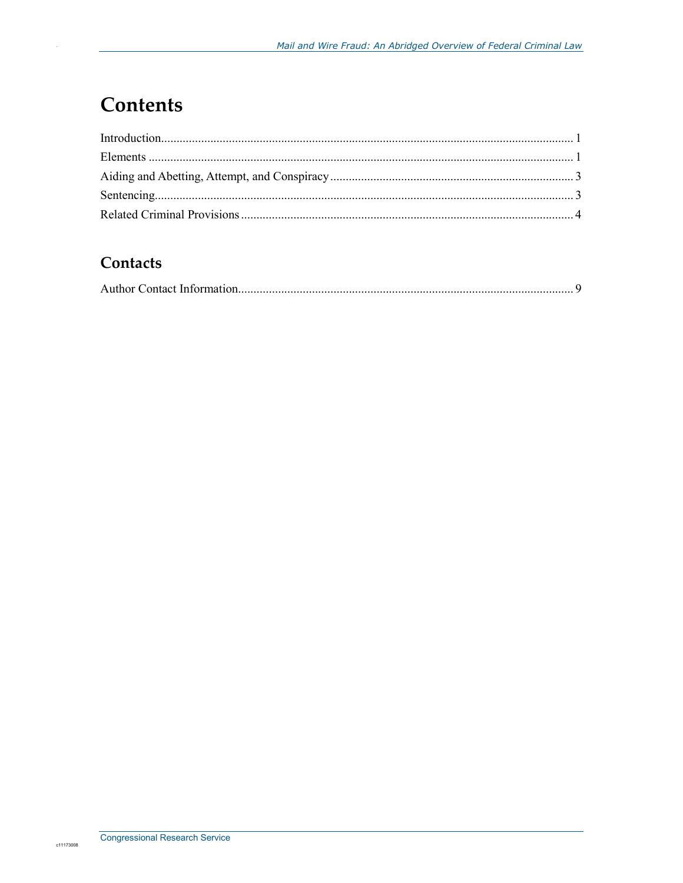# **Contents**

#### Contacts

|--|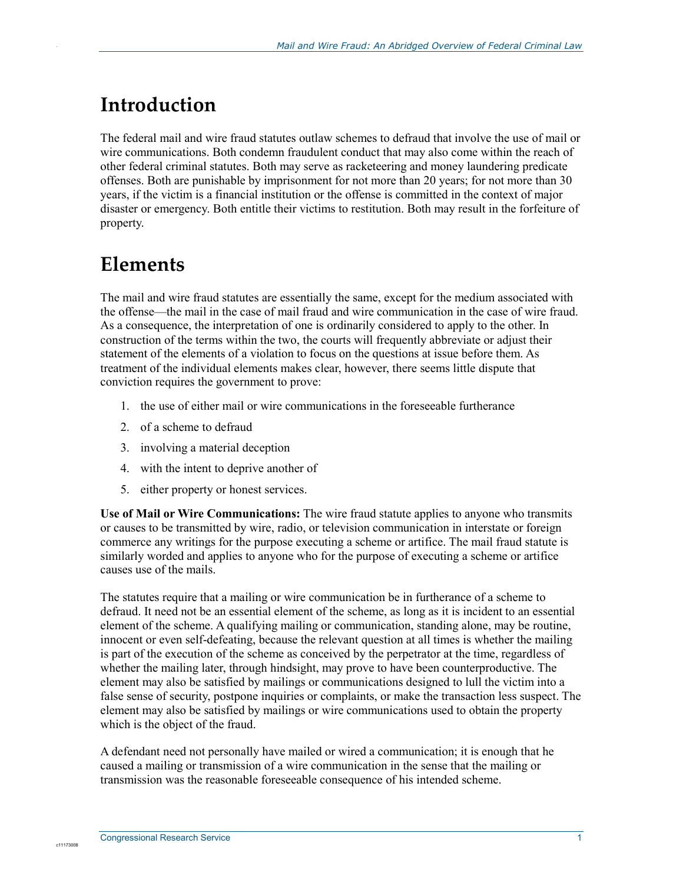## **Introduction**

.

The federal mail and wire fraud statutes outlaw schemes to defraud that involve the use of mail or wire communications. Both condemn fraudulent conduct that may also come within the reach of other federal criminal statutes. Both may serve as racketeering and money laundering predicate offenses. Both are punishable by imprisonment for not more than 20 years; for not more than 30 years, if the victim is a financial institution or the offense is committed in the context of major disaster or emergency. Both entitle their victims to restitution. Both may result in the forfeiture of property.

### **Elements**

The mail and wire fraud statutes are essentially the same, except for the medium associated with the offense—the mail in the case of mail fraud and wire communication in the case of wire fraud. As a consequence, the interpretation of one is ordinarily considered to apply to the other. In construction of the terms within the two, the courts will frequently abbreviate or adjust their statement of the elements of a violation to focus on the questions at issue before them. As treatment of the individual elements makes clear, however, there seems little dispute that conviction requires the government to prove:

- 1. the use of either mail or wire communications in the foreseeable furtherance
- 2. of a scheme to defraud
- 3. involving a material deception
- 4. with the intent to deprive another of
- 5. either property or honest services.

**Use of Mail or Wire Communications:** The wire fraud statute applies to anyone who transmits or causes to be transmitted by wire, radio, or television communication in interstate or foreign commerce any writings for the purpose executing a scheme or artifice. The mail fraud statute is similarly worded and applies to anyone who for the purpose of executing a scheme or artifice causes use of the mails.

The statutes require that a mailing or wire communication be in furtherance of a scheme to defraud. It need not be an essential element of the scheme, as long as it is incident to an essential element of the scheme. A qualifying mailing or communication, standing alone, may be routine, innocent or even self-defeating, because the relevant question at all times is whether the mailing is part of the execution of the scheme as conceived by the perpetrator at the time, regardless of whether the mailing later, through hindsight, may prove to have been counterproductive. The element may also be satisfied by mailings or communications designed to lull the victim into a false sense of security, postpone inquiries or complaints, or make the transaction less suspect. The element may also be satisfied by mailings or wire communications used to obtain the property which is the object of the fraud.

A defendant need not personally have mailed or wired a communication; it is enough that he caused a mailing or transmission of a wire communication in the sense that the mailing or transmission was the reasonable foreseeable consequence of his intended scheme.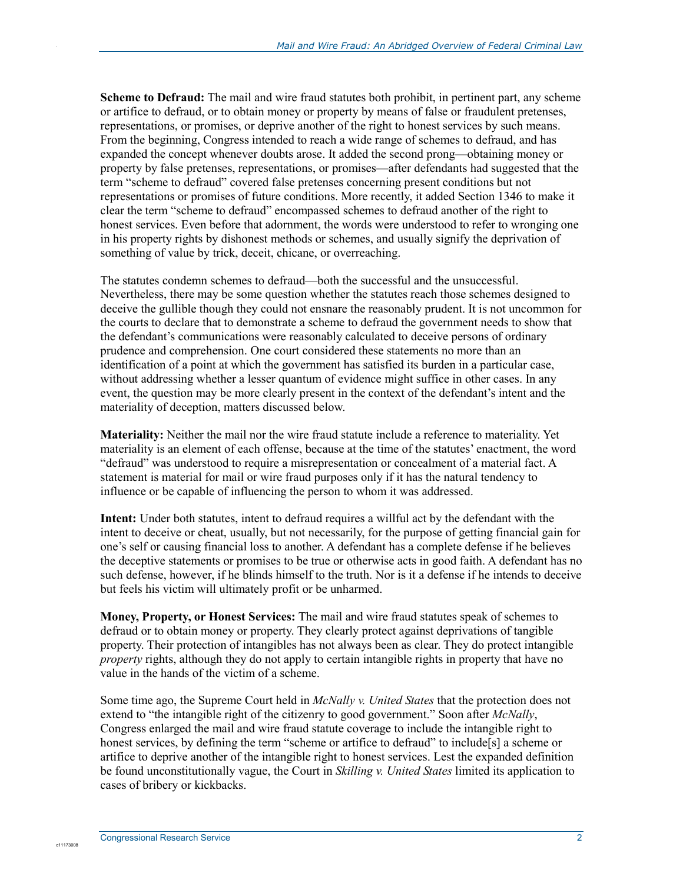**Scheme to Defraud:** The mail and wire fraud statutes both prohibit, in pertinent part, any scheme or artifice to defraud, or to obtain money or property by means of false or fraudulent pretenses, representations, or promises, or deprive another of the right to honest services by such means. From the beginning, Congress intended to reach a wide range of schemes to defraud, and has expanded the concept whenever doubts arose. It added the second prong—obtaining money or property by false pretenses, representations, or promises—after defendants had suggested that the term "scheme to defraud" covered false pretenses concerning present conditions but not representations or promises of future conditions. More recently, it added Section 1346 to make it clear the term "scheme to defraud" encompassed schemes to defraud another of the right to honest services. Even before that adornment, the words were understood to refer to wronging one in his property rights by dishonest methods or schemes, and usually signify the deprivation of something of value by trick, deceit, chicane, or overreaching.

The statutes condemn schemes to defraud—both the successful and the unsuccessful. Nevertheless, there may be some question whether the statutes reach those schemes designed to deceive the gullible though they could not ensnare the reasonably prudent. It is not uncommon for the courts to declare that to demonstrate a scheme to defraud the government needs to show that the defendant's communications were reasonably calculated to deceive persons of ordinary prudence and comprehension. One court considered these statements no more than an identification of a point at which the government has satisfied its burden in a particular case, without addressing whether a lesser quantum of evidence might suffice in other cases. In any event, the question may be more clearly present in the context of the defendant's intent and the materiality of deception, matters discussed below.

**Materiality:** Neither the mail nor the wire fraud statute include a reference to materiality. Yet materiality is an element of each offense, because at the time of the statutes' enactment, the word "defraud" was understood to require a misrepresentation or concealment of a material fact. A statement is material for mail or wire fraud purposes only if it has the natural tendency to influence or be capable of influencing the person to whom it was addressed.

**Intent:** Under both statutes, intent to defraud requires a willful act by the defendant with the intent to deceive or cheat, usually, but not necessarily, for the purpose of getting financial gain for one's self or causing financial loss to another. A defendant has a complete defense if he believes the deceptive statements or promises to be true or otherwise acts in good faith. A defendant has no such defense, however, if he blinds himself to the truth. Nor is it a defense if he intends to deceive but feels his victim will ultimately profit or be unharmed.

**Money, Property, or Honest Services:** The mail and wire fraud statutes speak of schemes to defraud or to obtain money or property. They clearly protect against deprivations of tangible property. Their protection of intangibles has not always been as clear. They do protect intangible *property* rights, although they do not apply to certain intangible rights in property that have no value in the hands of the victim of a scheme.

Some time ago, the Supreme Court held in *McNally v. United States* that the protection does not extend to "the intangible right of the citizenry to good government." Soon after *McNally*, Congress enlarged the mail and wire fraud statute coverage to include the intangible right to honest services, by defining the term "scheme or artifice to defraud" to include [s] a scheme or artifice to deprive another of the intangible right to honest services. Lest the expanded definition be found unconstitutionally vague, the Court in *Skilling v. United States* limited its application to cases of bribery or kickbacks.

c11173008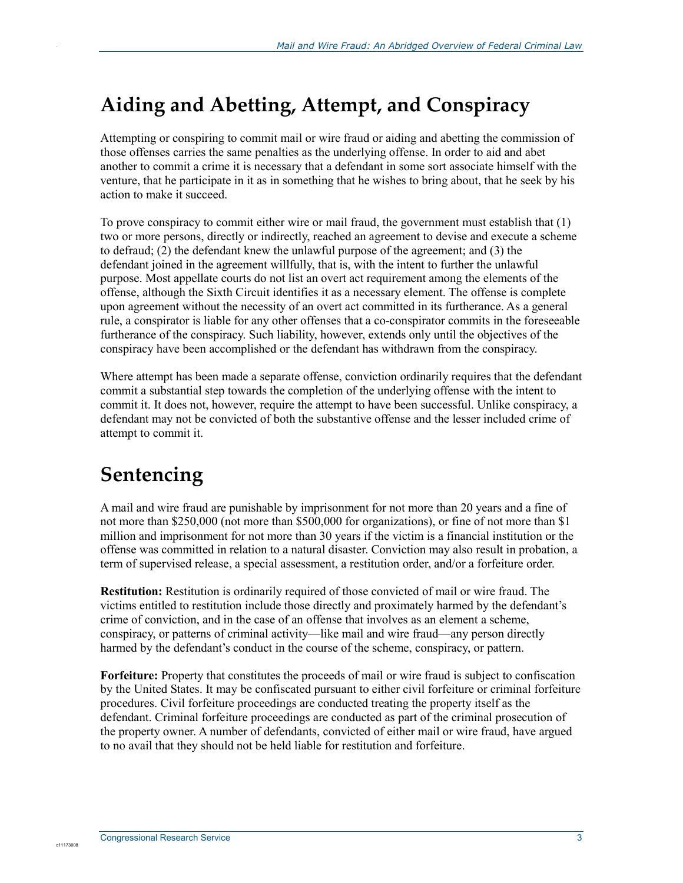### **Aiding and Abetting, Attempt, and Conspiracy**

Attempting or conspiring to commit mail or wire fraud or aiding and abetting the commission of those offenses carries the same penalties as the underlying offense. In order to aid and abet another to commit a crime it is necessary that a defendant in some sort associate himself with the venture, that he participate in it as in something that he wishes to bring about, that he seek by his action to make it succeed.

To prove conspiracy to commit either wire or mail fraud, the government must establish that (1) two or more persons, directly or indirectly, reached an agreement to devise and execute a scheme to defraud; (2) the defendant knew the unlawful purpose of the agreement; and (3) the defendant joined in the agreement willfully, that is, with the intent to further the unlawful purpose. Most appellate courts do not list an overt act requirement among the elements of the offense, although the Sixth Circuit identifies it as a necessary element. The offense is complete upon agreement without the necessity of an overt act committed in its furtherance. As a general rule, a conspirator is liable for any other offenses that a co-conspirator commits in the foreseeable furtherance of the conspiracy. Such liability, however, extends only until the objectives of the conspiracy have been accomplished or the defendant has withdrawn from the conspiracy.

Where attempt has been made a separate offense, conviction ordinarily requires that the defendant commit a substantial step towards the completion of the underlying offense with the intent to commit it. It does not, however, require the attempt to have been successful. Unlike conspiracy, a defendant may not be convicted of both the substantive offense and the lesser included crime of attempt to commit it.

# **Sentencing**

.

A mail and wire fraud are punishable by imprisonment for not more than 20 years and a fine of not more than \$250,000 (not more than \$500,000 for organizations), or fine of not more than \$1 million and imprisonment for not more than 30 years if the victim is a financial institution or the offense was committed in relation to a natural disaster. Conviction may also result in probation, a term of supervised release, a special assessment, a restitution order, and/or a forfeiture order.

**Restitution:** Restitution is ordinarily required of those convicted of mail or wire fraud. The victims entitled to restitution include those directly and proximately harmed by the defendant's crime of conviction, and in the case of an offense that involves as an element a scheme, conspiracy, or patterns of criminal activity—like mail and wire fraud—any person directly harmed by the defendant's conduct in the course of the scheme, conspiracy, or pattern.

**Forfeiture:** Property that constitutes the proceeds of mail or wire fraud is subject to confiscation by the United States. It may be confiscated pursuant to either civil forfeiture or criminal forfeiture procedures. Civil forfeiture proceedings are conducted treating the property itself as the defendant. Criminal forfeiture proceedings are conducted as part of the criminal prosecution of the property owner. A number of defendants, convicted of either mail or wire fraud, have argued to no avail that they should not be held liable for restitution and forfeiture.

c11173008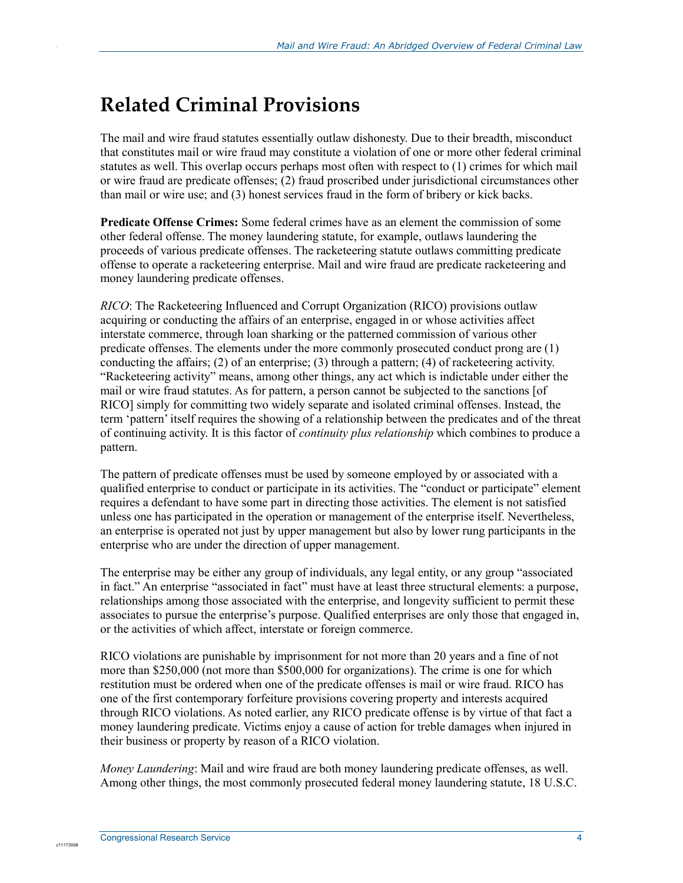#### **Related Criminal Provisions**

.

The mail and wire fraud statutes essentially outlaw dishonesty. Due to their breadth, misconduct that constitutes mail or wire fraud may constitute a violation of one or more other federal criminal statutes as well. This overlap occurs perhaps most often with respect to (1) crimes for which mail or wire fraud are predicate offenses; (2) fraud proscribed under jurisdictional circumstances other than mail or wire use; and (3) honest services fraud in the form of bribery or kick backs.

**Predicate Offense Crimes:** Some federal crimes have as an element the commission of some other federal offense. The money laundering statute, for example, outlaws laundering the proceeds of various predicate offenses. The racketeering statute outlaws committing predicate offense to operate a racketeering enterprise. Mail and wire fraud are predicate racketeering and money laundering predicate offenses.

*RICO*: The Racketeering Influenced and Corrupt Organization (RICO) provisions outlaw acquiring or conducting the affairs of an enterprise, engaged in or whose activities affect interstate commerce, through loan sharking or the patterned commission of various other predicate offenses. The elements under the more commonly prosecuted conduct prong are (1) conducting the affairs; (2) of an enterprise; (3) through a pattern; (4) of racketeering activity. "Racketeering activity" means, among other things, any act which is indictable under either the mail or wire fraud statutes. As for pattern, a person cannot be subjected to the sanctions [of RICO] simply for committing two widely separate and isolated criminal offenses. Instead, the term 'pattern' itself requires the showing of a relationship between the predicates and of the threat of continuing activity. It is this factor of *continuity plus relationship* which combines to produce a pattern.

The pattern of predicate offenses must be used by someone employed by or associated with a qualified enterprise to conduct or participate in its activities. The "conduct or participate" element requires a defendant to have some part in directing those activities. The element is not satisfied unless one has participated in the operation or management of the enterprise itself. Nevertheless, an enterprise is operated not just by upper management but also by lower rung participants in the enterprise who are under the direction of upper management.

The enterprise may be either any group of individuals, any legal entity, or any group "associated in fact." An enterprise "associated in fact" must have at least three structural elements: a purpose, relationships among those associated with the enterprise, and longevity sufficient to permit these associates to pursue the enterprise's purpose. Qualified enterprises are only those that engaged in, or the activities of which affect, interstate or foreign commerce.

RICO violations are punishable by imprisonment for not more than 20 years and a fine of not more than \$250,000 (not more than \$500,000 for organizations). The crime is one for which restitution must be ordered when one of the predicate offenses is mail or wire fraud. RICO has one of the first contemporary forfeiture provisions covering property and interests acquired through RICO violations. As noted earlier, any RICO predicate offense is by virtue of that fact a money laundering predicate. Victims enjoy a cause of action for treble damages when injured in their business or property by reason of a RICO violation.

*Money Laundering*: Mail and wire fraud are both money laundering predicate offenses, as well. Among other things, the most commonly prosecuted federal money laundering statute, 18 U.S.C.

c11173008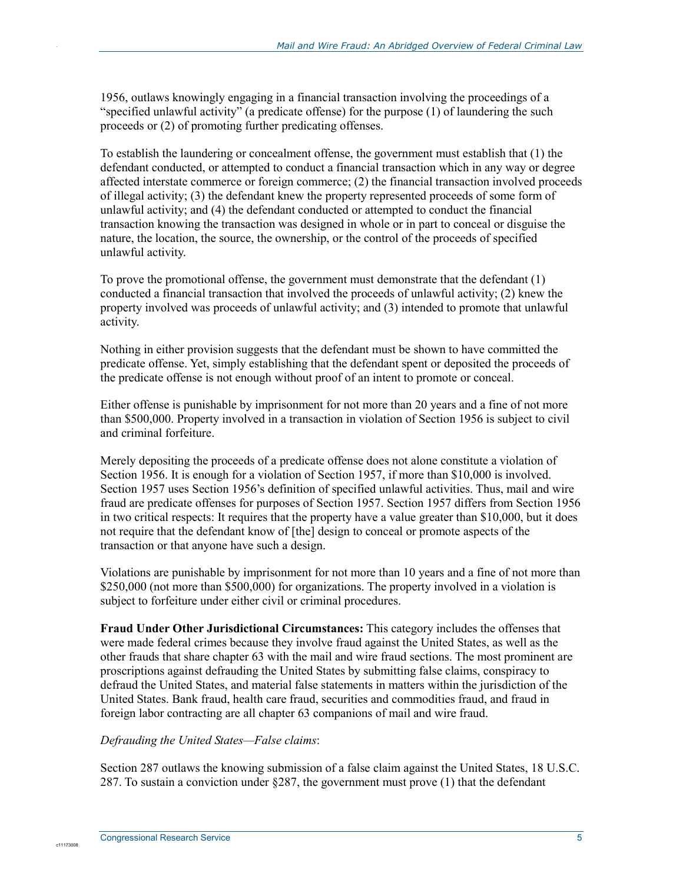1956, outlaws knowingly engaging in a financial transaction involving the proceedings of a "specified unlawful activity" (a predicate offense) for the purpose (1) of laundering the such proceeds or (2) of promoting further predicating offenses.

To establish the laundering or concealment offense, the government must establish that (1) the defendant conducted, or attempted to conduct a financial transaction which in any way or degree affected interstate commerce or foreign commerce; (2) the financial transaction involved proceeds of illegal activity; (3) the defendant knew the property represented proceeds of some form of unlawful activity; and (4) the defendant conducted or attempted to conduct the financial transaction knowing the transaction was designed in whole or in part to conceal or disguise the nature, the location, the source, the ownership, or the control of the proceeds of specified unlawful activity.

To prove the promotional offense, the government must demonstrate that the defendant (1) conducted a financial transaction that involved the proceeds of unlawful activity; (2) knew the property involved was proceeds of unlawful activity; and (3) intended to promote that unlawful activity.

Nothing in either provision suggests that the defendant must be shown to have committed the predicate offense. Yet, simply establishing that the defendant spent or deposited the proceeds of the predicate offense is not enough without proof of an intent to promote or conceal.

Either offense is punishable by imprisonment for not more than 20 years and a fine of not more than \$500,000. Property involved in a transaction in violation of Section 1956 is subject to civil and criminal forfeiture.

Merely depositing the proceeds of a predicate offense does not alone constitute a violation of Section 1956. It is enough for a violation of Section 1957, if more than \$10,000 is involved. Section 1957 uses Section 1956's definition of specified unlawful activities. Thus, mail and wire fraud are predicate offenses for purposes of Section 1957. Section 1957 differs from Section 1956 in two critical respects: It requires that the property have a value greater than \$10,000, but it does not require that the defendant know of [the] design to conceal or promote aspects of the transaction or that anyone have such a design.

Violations are punishable by imprisonment for not more than 10 years and a fine of not more than \$250,000 (not more than \$500,000) for organizations. The property involved in a violation is subject to forfeiture under either civil or criminal procedures.

**Fraud Under Other Jurisdictional Circumstances:** This category includes the offenses that were made federal crimes because they involve fraud against the United States, as well as the other frauds that share chapter 63 with the mail and wire fraud sections. The most prominent are proscriptions against defrauding the United States by submitting false claims, conspiracy to defraud the United States, and material false statements in matters within the jurisdiction of the United States. Bank fraud, health care fraud, securities and commodities fraud, and fraud in foreign labor contracting are all chapter 63 companions of mail and wire fraud.

#### *Defrauding the United States—False claims*:

Section 287 outlaws the knowing submission of a false claim against the United States, 18 U.S.C. 287. To sustain a conviction under  $\S 287$ , the government must prove (1) that the defendant

c11173008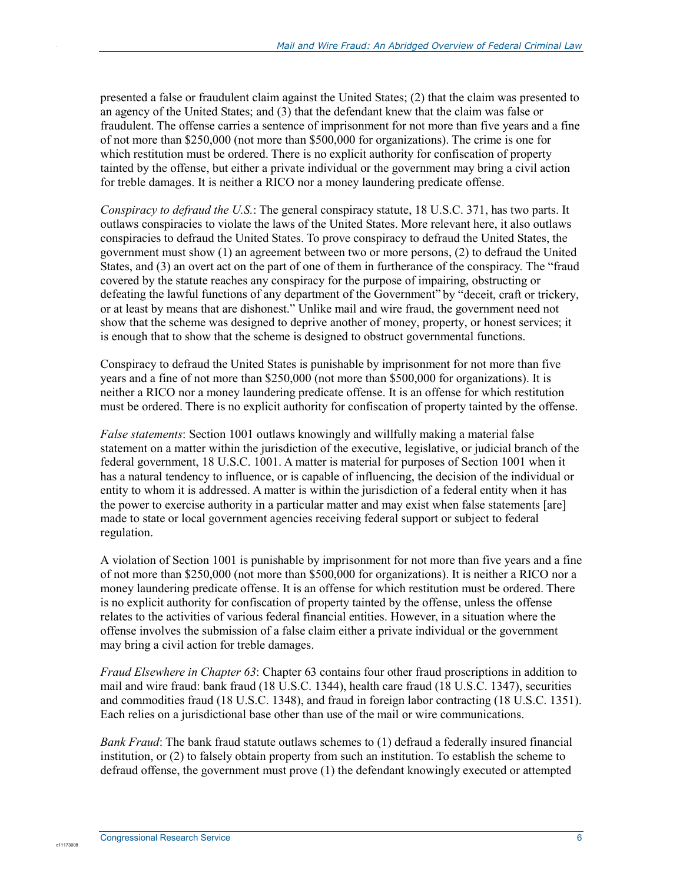presented a false or fraudulent claim against the United States; (2) that the claim was presented to an agency of the United States; and (3) that the defendant knew that the claim was false or fraudulent. The offense carries a sentence of imprisonment for not more than five years and a fine of not more than \$250,000 (not more than \$500,000 for organizations). The crime is one for which restitution must be ordered. There is no explicit authority for confiscation of property tainted by the offense, but either a private individual or the government may bring a civil action for treble damages. It is neither a RICO nor a money laundering predicate offense.

*Conspiracy to defraud the U.S.*: The general conspiracy statute, 18 U.S.C. 371, has two parts. It outlaws conspiracies to violate the laws of the United States. More relevant here, it also outlaws conspiracies to defraud the United States. To prove conspiracy to defraud the United States, the government must show (1) an agreement between two or more persons, (2) to defraud the United States, and (3) an overt act on the part of one of them in furtherance of the conspiracy. The "fraud covered by the statute reaches any conspiracy for the purpose of impairing, obstructing or defeating the lawful functions of any department of the Government" by "deceit, craft or trickery, or at least by means that are dishonest." Unlike mail and wire fraud, the government need not show that the scheme was designed to deprive another of money, property, or honest services; it is enough that to show that the scheme is designed to obstruct governmental functions.

Conspiracy to defraud the United States is punishable by imprisonment for not more than five years and a fine of not more than \$250,000 (not more than \$500,000 for organizations). It is neither a RICO nor a money laundering predicate offense. It is an offense for which restitution must be ordered. There is no explicit authority for confiscation of property tainted by the offense.

*False statements*: Section 1001 outlaws knowingly and willfully making a material false statement on a matter within the jurisdiction of the executive, legislative, or judicial branch of the federal government, 18 U.S.C. 1001. A matter is material for purposes of Section 1001 when it has a natural tendency to influence, or is capable of influencing, the decision of the individual or entity to whom it is addressed. A matter is within the jurisdiction of a federal entity when it has the power to exercise authority in a particular matter and may exist when false statements [are] made to state or local government agencies receiving federal support or subject to federal regulation.

A violation of Section 1001 is punishable by imprisonment for not more than five years and a fine of not more than \$250,000 (not more than \$500,000 for organizations). It is neither a RICO nor a money laundering predicate offense. It is an offense for which restitution must be ordered. There is no explicit authority for confiscation of property tainted by the offense, unless the offense relates to the activities of various federal financial entities. However, in a situation where the offense involves the submission of a false claim either a private individual or the government may bring a civil action for treble damages.

*Fraud Elsewhere in Chapter 63*: Chapter 63 contains four other fraud proscriptions in addition to mail and wire fraud: bank fraud (18 U.S.C. 1344), health care fraud (18 U.S.C. 1347), securities and commodities fraud (18 U.S.C. 1348), and fraud in foreign labor contracting (18 U.S.C. 1351). Each relies on a jurisdictional base other than use of the mail or wire communications.

*Bank Fraud*: The bank fraud statute outlaws schemes to (1) defraud a federally insured financial institution, or (2) to falsely obtain property from such an institution. To establish the scheme to defraud offense, the government must prove (1) the defendant knowingly executed or attempted

c11173008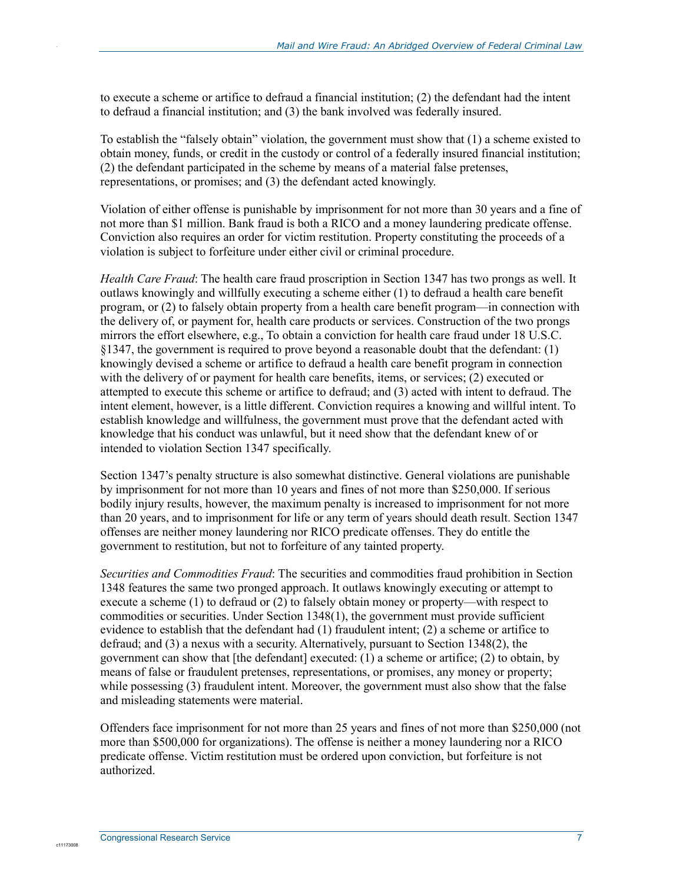to execute a scheme or artifice to defraud a financial institution; (2) the defendant had the intent to defraud a financial institution; and (3) the bank involved was federally insured.

To establish the "falsely obtain" violation, the government must show that (1) a scheme existed to obtain money, funds, or credit in the custody or control of a federally insured financial institution; (2) the defendant participated in the scheme by means of a material false pretenses, representations, or promises; and (3) the defendant acted knowingly.

Violation of either offense is punishable by imprisonment for not more than 30 years and a fine of not more than \$1 million. Bank fraud is both a RICO and a money laundering predicate offense. Conviction also requires an order for victim restitution. Property constituting the proceeds of a violation is subject to forfeiture under either civil or criminal procedure.

*Health Care Fraud*: The health care fraud proscription in Section 1347 has two prongs as well. It outlaws knowingly and willfully executing a scheme either (1) to defraud a health care benefit program, or (2) to falsely obtain property from a health care benefit program—in connection with the delivery of, or payment for, health care products or services. Construction of the two prongs mirrors the effort elsewhere, e.g., To obtain a conviction for health care fraud under 18 U.S.C. §1347, the government is required to prove beyond a reasonable doubt that the defendant: (1) knowingly devised a scheme or artifice to defraud a health care benefit program in connection with the delivery of or payment for health care benefits, items, or services; (2) executed or attempted to execute this scheme or artifice to defraud; and (3) acted with intent to defraud. The intent element, however, is a little different. Conviction requires a knowing and willful intent. To establish knowledge and willfulness, the government must prove that the defendant acted with knowledge that his conduct was unlawful, but it need show that the defendant knew of or intended to violation Section 1347 specifically.

Section 1347's penalty structure is also somewhat distinctive. General violations are punishable by imprisonment for not more than 10 years and fines of not more than \$250,000. If serious bodily injury results, however, the maximum penalty is increased to imprisonment for not more than 20 years, and to imprisonment for life or any term of years should death result. Section 1347 offenses are neither money laundering nor RICO predicate offenses. They do entitle the government to restitution, but not to forfeiture of any tainted property.

*Securities and Commodities Fraud*: The securities and commodities fraud prohibition in Section 1348 features the same two pronged approach. It outlaws knowingly executing or attempt to execute a scheme (1) to defraud or (2) to falsely obtain money or property—with respect to commodities or securities. Under Section 1348(1), the government must provide sufficient evidence to establish that the defendant had (1) fraudulent intent; (2) a scheme or artifice to defraud; and (3) a nexus with a security. Alternatively, pursuant to Section 1348(2), the government can show that [the defendant] executed: (1) a scheme or artifice; (2) to obtain, by means of false or fraudulent pretenses, representations, or promises, any money or property; while possessing (3) fraudulent intent. Moreover, the government must also show that the false and misleading statements were material.

Offenders face imprisonment for not more than 25 years and fines of not more than \$250,000 (not more than \$500,000 for organizations). The offense is neither a money laundering nor a RICO predicate offense. Victim restitution must be ordered upon conviction, but forfeiture is not authorized.

c11173008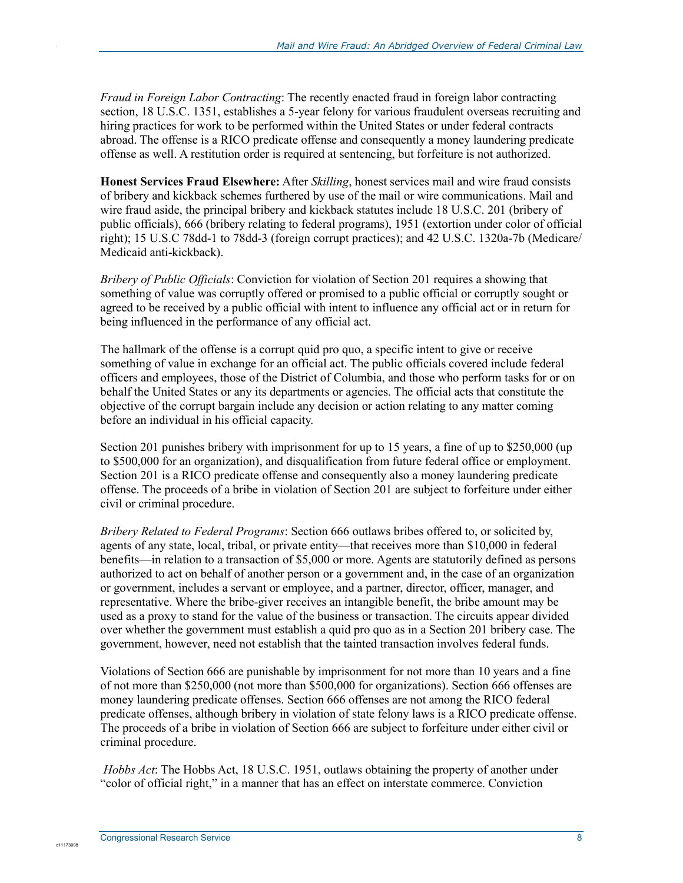*Fraud in Foreign Labor Contracting*: The recently enacted fraud in foreign labor contracting section, 18 U.S.C. 1351, establishes a 5-year felony for various fraudulent overseas recruiting and hiring practices for work to be performed within the United States or under federal contracts abroad. The offense is a RICO predicate offense and consequently a money laundering predicate offense as well. A restitution order is required at sentencing, but forfeiture is not authorized.

**Honest Services Fraud Elsewhere:** After *Skilling*, honest services mail and wire fraud consists of bribery and kickback schemes furthered by use of the mail or wire communications. Mail and wire fraud aside, the principal bribery and kickback statutes include 18 U.S.C. 201 (bribery of public officials), 666 (bribery relating to federal programs), 1951 (extortion under color of official right); 15 U.S.C 78dd-1 to 78dd-3 (foreign corrupt practices); and 42 U.S.C. 1320a-7b (Medicare/ Medicaid anti-kickback).

*Bribery of Public Officials*: Conviction for violation of Section 201 requires a showing that something of value was corruptly offered or promised to a public official or corruptly sought or agreed to be received by a public official with intent to influence any official act or in return for being influenced in the performance of any official act.

The hallmark of the offense is a corrupt quid pro quo, a specific intent to give or receive something of value in exchange for an official act. The public officials covered include federal officers and employees, those of the District of Columbia, and those who perform tasks for or on behalf the United States or any its departments or agencies. The official acts that constitute the objective of the corrupt bargain include any decision or action relating to any matter coming before an individual in his official capacity.

Section 201 punishes bribery with imprisonment for up to 15 years, a fine of up to \$250,000 (up to \$500,000 for an organization), and disqualification from future federal office or employment. Section 201 is a RICO predicate offense and consequently also a money laundering predicate offense. The proceeds of a bribe in violation of Section 201 are subject to forfeiture under either civil or criminal procedure.

*Bribery Related to Federal Programs*: Section 666 outlaws bribes offered to, or solicited by, agents of any state, local, tribal, or private entity—that receives more than \$10,000 in federal benefits—in relation to a transaction of \$5,000 or more. Agents are statutorily defined as persons authorized to act on behalf of another person or a government and, in the case of an organization or government, includes a servant or employee, and a partner, director, officer, manager, and representative. Where the bribe-giver receives an intangible benefit, the bribe amount may be used as a proxy to stand for the value of the business or transaction. The circuits appear divided over whether the government must establish a quid pro quo as in a Section 201 bribery case. The government, however, need not establish that the tainted transaction involves federal funds.

Violations of Section 666 are punishable by imprisonment for not more than 10 years and a fine of not more than \$250,000 (not more than \$500,000 for organizations). Section 666 offenses are money laundering predicate offenses. Section 666 offenses are not among the RICO federal predicate offenses, although bribery in violation of state felony laws is a RICO predicate offense. The proceeds of a bribe in violation of Section 666 are subject to forfeiture under either civil or criminal procedure.

*Hobbs Act*: The Hobbs Act, 18 U.S.C. 1951, outlaws obtaining the property of another under "color of official right," in a manner that has an effect on interstate commerce. Conviction

c11173008